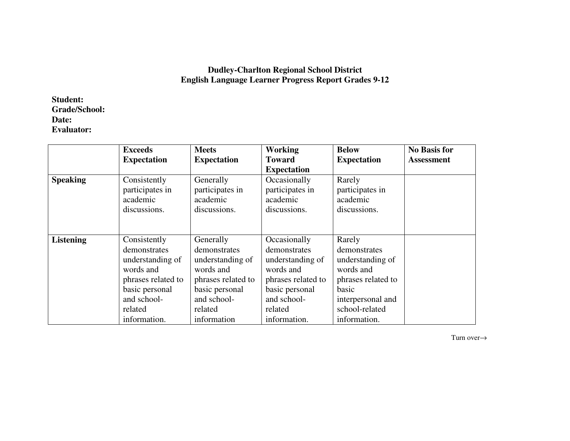## **Dudley-Charlton Regional School District English Language Learner Progress Report Grades 9-12**

**Student: Grade/School: Date: Evaluator:** 

|                  | <b>Exceeds</b>     | <b>Meets</b>       | <b>Working</b>     | <b>Below</b>       | <b>No Basis for</b> |
|------------------|--------------------|--------------------|--------------------|--------------------|---------------------|
|                  | <b>Expectation</b> | <b>Expectation</b> | Toward             | <b>Expectation</b> | <b>Assessment</b>   |
|                  |                    |                    | <b>Expectation</b> |                    |                     |
| <b>Speaking</b>  | Consistently       | Generally          | Occasionally       | Rarely             |                     |
|                  | participates in    | participates in    | participates in    | participates in    |                     |
|                  | academic           | academic           | academic           | academic           |                     |
|                  | discussions.       | discussions.       | discussions.       | discussions.       |                     |
|                  |                    |                    |                    |                    |                     |
|                  |                    |                    |                    |                    |                     |
| <b>Listening</b> | Consistently       | Generally          | Occasionally       | Rarely             |                     |
|                  | demonstrates       | demonstrates       | demonstrates       | demonstrates       |                     |
|                  | understanding of   | understanding of   | understanding of   | understanding of   |                     |
|                  | words and          | words and          | words and          | words and          |                     |
|                  | phrases related to | phrases related to | phrases related to | phrases related to |                     |
|                  | basic personal     | basic personal     | basic personal     | basic              |                     |
|                  | and school-        | and school-        | and school-        | interpersonal and  |                     |
|                  | related            | related            | related            | school-related     |                     |
|                  | information.       | information        | information.       | information.       |                     |

Turn over→